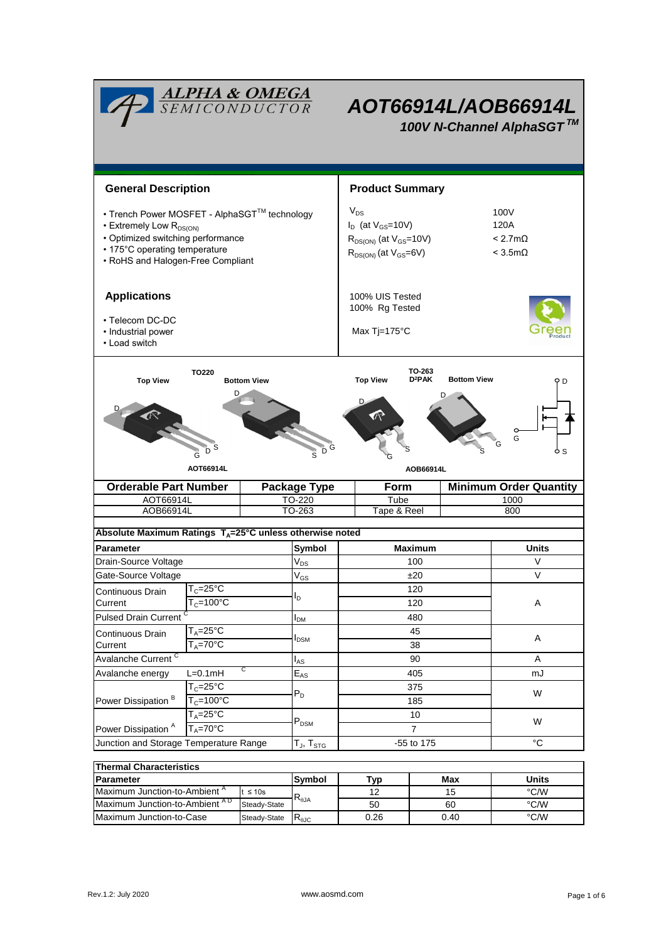| <b>ALPHA &amp; OMEGA</b><br>SEMICONDUCTOR<br>AOT66914L/AOB66914L<br>100V N-Channel AlphaSGT™                                                                                                   |                                |                                                                                                           |                                            |                                                                                          |                                                             |               |                               |  |  |  |  |
|------------------------------------------------------------------------------------------------------------------------------------------------------------------------------------------------|--------------------------------|-----------------------------------------------------------------------------------------------------------|--------------------------------------------|------------------------------------------------------------------------------------------|-------------------------------------------------------------|---------------|-------------------------------|--|--|--|--|
| <b>General Description</b>                                                                                                                                                                     |                                |                                                                                                           |                                            | <b>Product Summary</b>                                                                   |                                                             |               |                               |  |  |  |  |
| • Trench Power MOSFET - AlphaSGT™ technology<br>• Extremely Low R <sub>DS(ON)</sub><br>• Optimized switching performance<br>• 175°C operating temperature<br>• RoHS and Halogen-Free Compliant |                                | $V_{DS}$<br>$I_D$ (at $V_{GS}$ =10V)<br>$R_{DS(ON)}$ (at $V_{GS}$ =10V)<br>$R_{DS(ON)}$ (at $V_{GS}=6V$ ) |                                            |                                                                                          | 100V<br>120A<br>$< 2.7 \text{m}\Omega$<br>$<$ 3.5m $\Omega$ |               |                               |  |  |  |  |
| <b>Applications</b><br>• Telecom DC-DC<br>• Industrial power<br>• Load switch                                                                                                                  |                                | 100% UIS Tested<br>100% Rg Tested<br>Max Tj=175°C                                                         |                                            |                                                                                          |                                                             |               |                               |  |  |  |  |
| TO220<br><b>Top View</b><br><b>Bottom View</b><br>D<br>š<br>Ġ<br>AOT66914L                                                                                                                     |                                |                                                                                                           |                                            | TO-263<br>$D^2PAK$<br><b>Top View</b><br><b>Bottom View</b><br>D<br>G<br>S.<br>AOB66914L |                                                             |               |                               |  |  |  |  |
| <b>Orderable Part Number</b>                                                                                                                                                                   |                                |                                                                                                           | <b>Package Type</b>                        | <b>Form</b>                                                                              |                                                             |               | <b>Minimum Order Quantity</b> |  |  |  |  |
| AOT66914L<br>AOB66914L                                                                                                                                                                         |                                | TO-220<br>TO-263                                                                                          | Tube<br>Tape & Reel                        |                                                                                          | 1000<br>800                                                 |               |                               |  |  |  |  |
|                                                                                                                                                                                                |                                |                                                                                                           |                                            |                                                                                          |                                                             |               |                               |  |  |  |  |
| Absolute Maximum Ratings $T_A = 25^\circ \text{C}$ unless otherwise noted                                                                                                                      |                                |                                                                                                           |                                            |                                                                                          |                                                             |               |                               |  |  |  |  |
| <b>Parameter</b><br>Drain-Source Voltage                                                                                                                                                       |                                |                                                                                                           | Symbol                                     | <b>Maximum</b><br>100                                                                    |                                                             |               | Units<br>V                    |  |  |  |  |
| Gate-Source Voltage                                                                                                                                                                            |                                |                                                                                                           | $\mathsf{V}_{\mathsf{DS}}$<br>$\rm V_{GS}$ |                                                                                          | ±20                                                         |               | $\vee$                        |  |  |  |  |
| Continuous Drain                                                                                                                                                                               | $T_c = 25$ °C                  |                                                                                                           |                                            | 120                                                                                      |                                                             |               | Α                             |  |  |  |  |
| Current                                                                                                                                                                                        | $T_c = 100^{\circ}$ C          |                                                                                                           | l <sub>D</sub>                             | 120                                                                                      |                                                             |               |                               |  |  |  |  |
| <b>Pulsed Drain Current</b>                                                                                                                                                                    |                                |                                                                                                           | I <sub>DM</sub>                            | 480                                                                                      |                                                             |               |                               |  |  |  |  |
| Continuous Drain                                                                                                                                                                               | $T_A = 25$ °C                  |                                                                                                           |                                            | 45                                                                                       |                                                             |               |                               |  |  |  |  |
| Current                                                                                                                                                                                        | $T_A = 70$ °C                  |                                                                                                           | <b>I</b> <sub>DSM</sub>                    | 38                                                                                       |                                                             |               | Α                             |  |  |  |  |
|                                                                                                                                                                                                | Avalanche Current <sup>C</sup> |                                                                                                           |                                            |                                                                                          | 90                                                          |               | Α                             |  |  |  |  |
| C<br>$L=0.1mH$<br>Avalanche energy                                                                                                                                                             |                                |                                                                                                           | $E_{AS}$                                   |                                                                                          | 405                                                         |               | mJ                            |  |  |  |  |
| $T_c = 25^{\circ}C$<br>$T_c = 100^{\circ}$ C<br>Power Dissipation <sup>B</sup>                                                                                                                 |                                |                                                                                                           | $P_D$                                      |                                                                                          | 375<br>185                                                  |               | W                             |  |  |  |  |
| $T_A = 25^\circ C$<br>$T_A = 70^\circ C$<br>Power Dissipation <sup>A</sup>                                                                                                                     |                                |                                                                                                           | $P_{DSM}$                                  | 10<br>$\overline{7}$                                                                     |                                                             |               | W                             |  |  |  |  |
| Junction and Storage Temperature Range                                                                                                                                                         |                                |                                                                                                           | $T_J$ , $T_{STG}$                          | -55 to 175                                                                               |                                                             |               | °C                            |  |  |  |  |
|                                                                                                                                                                                                |                                |                                                                                                           |                                            |                                                                                          |                                                             |               |                               |  |  |  |  |
| <b>Thermal Characteristics</b>                                                                                                                                                                 |                                |                                                                                                           |                                            |                                                                                          |                                                             |               |                               |  |  |  |  |
| <b>Parameter</b><br>Maximum Junction-to-Ambient <sup>A</sup><br>$t \leq 10s$                                                                                                                   |                                |                                                                                                           | Symbol                                     | <b>Typ</b><br>12                                                                         |                                                             | Max<br>15     | Units<br>°C/W                 |  |  |  |  |
| Maximum Junction-to-Ambient AD<br>Steady-State                                                                                                                                                 |                                | $\mathsf{R}_{\theta\mathsf{JA}}$                                                                          | 50                                         |                                                                                          | 60                                                          | °C/W          |                               |  |  |  |  |
| Maximum Junction-to-Case<br>Steady-State                                                                                                                                                       |                                | $R_{\theta$ JC                                                                                            | 0.26                                       |                                                                                          | 0.40                                                        | $\degree$ C/W |                               |  |  |  |  |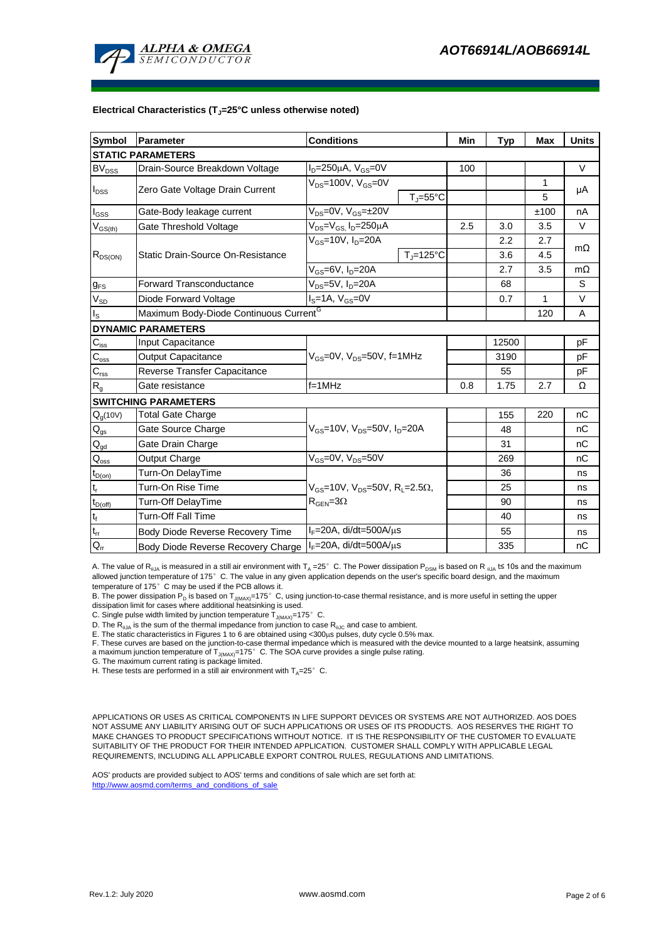

#### **Electrical Characteristics (TJ=25°C unless otherwise noted)**

| <b>Symbol</b>                                  | <b>Parameter</b>                                                        | <b>Conditions</b>                                                                                        |                              | Min | <b>Typ</b> | <b>Max</b> | <b>Units</b> |  |  |  |  |  |
|------------------------------------------------|-------------------------------------------------------------------------|----------------------------------------------------------------------------------------------------------|------------------------------|-----|------------|------------|--------------|--|--|--|--|--|
| <b>STATIC PARAMETERS</b>                       |                                                                         |                                                                                                          |                              |     |            |            |              |  |  |  |  |  |
| $\mathsf{BV}_\mathsf{DSS}$                     | Drain-Source Breakdown Voltage                                          | $I_D = 250 \mu A$ , $V_{GS} = 0V$                                                                        |                              | 100 |            |            | $\vee$       |  |  |  |  |  |
| $I_{DSS}$                                      | Zero Gate Voltage Drain Current                                         | $V_{DS}$ =100V, $V_{GS}$ =0V                                                                             |                              |     |            | 1          | μA           |  |  |  |  |  |
|                                                |                                                                         |                                                                                                          | $T_{\text{J}} = 55^{\circ}C$ |     |            | 5          |              |  |  |  |  |  |
| l <sub>GSS</sub>                               | Gate-Body leakage current                                               | $\overline{V_{DS}}$ =0V, $V_{GS}$ =±20V                                                                  |                              |     |            | ±100       | nA           |  |  |  |  |  |
| $V_{GS(th)}$                                   | Gate Threshold Voltage                                                  | $V_{DS} = V_{GS}$ , $I_D = 250 \mu A$                                                                    |                              | 2.5 | 3.0        | 3.5        | $\vee$       |  |  |  |  |  |
| $R_{DS(ON)}$                                   |                                                                         | $V_{GS}$ =10V, $I_D$ =20A                                                                                |                              |     | 2.2        | 2.7        | $m\Omega$    |  |  |  |  |  |
|                                                | Static Drain-Source On-Resistance                                       |                                                                                                          | $T_{\rm J}$ =125°C           |     | 3.6        | 4.5        |              |  |  |  |  |  |
|                                                |                                                                         | $V_{GS}$ =6V, $I_{D}$ =20A                                                                               |                              | 2.7 | 3.5        | $m\Omega$  |              |  |  |  |  |  |
| $g_{FS}$                                       | <b>Forward Transconductance</b>                                         | $V_{DS} = 5V$ , $I_D = 20A$                                                                              |                              |     | 68         |            | S            |  |  |  |  |  |
| $V_{SD}$                                       | Diode Forward Voltage                                                   | $I_S = 1A$ , $V_{GS} = 0V$                                                                               |                              |     | 0.7        | 1          | V            |  |  |  |  |  |
| Is                                             | Maximum Body-Diode Continuous Current <sup>G</sup>                      |                                                                                                          |                              |     | 120        | A          |              |  |  |  |  |  |
|                                                | <b>DYNAMIC PARAMETERS</b>                                               |                                                                                                          |                              |     |            |            |              |  |  |  |  |  |
| $C_{\text{iss}}$                               | <b>Input Capacitance</b>                                                |                                                                                                          |                              |     | 12500      |            | pF           |  |  |  |  |  |
| $\mathsf{C}_{\mathrm{oss}}$                    | <b>Output Capacitance</b>                                               | $V_{GS}$ =0V, $V_{DS}$ =50V, f=1MHz                                                                      |                              |     | 3190       |            | pF           |  |  |  |  |  |
| $C_{rss}$                                      | Reverse Transfer Capacitance                                            |                                                                                                          |                              | 55  |            | pF         |              |  |  |  |  |  |
| $R_{g}$                                        | Gate resistance                                                         | $f = 1$ MHz                                                                                              |                              | 0.8 | 1.75       | 2.7        | Ω            |  |  |  |  |  |
|                                                | <b>SWITCHING PARAMETERS</b>                                             |                                                                                                          |                              |     |            |            |              |  |  |  |  |  |
| $Q_q(10V)$                                     | <b>Total Gate Charge</b>                                                |                                                                                                          |                              |     | 155        | 220        | nC           |  |  |  |  |  |
| $\mathsf{Q}_{\mathsf{gs}}$                     | Gate Source Charge                                                      | $V_{GS}$ =10V, $V_{DS}$ =50V, $I_{D}$ =20A                                                               |                              |     | 48         |            | nC           |  |  |  |  |  |
| $Q_{gd}$                                       | Gate Drain Charge                                                       |                                                                                                          |                              |     | 31         |            | nC           |  |  |  |  |  |
| $\mathsf{Q}_{\mathsf{oss}}$                    | Output Charge                                                           | $V_{GS}$ =0V, $V_{DS}$ =50V                                                                              |                              |     | 269        |            | nC           |  |  |  |  |  |
| $\textnormal{t}_{\mathsf{D}(\textnormal{on})}$ | Turn-On DelayTime                                                       |                                                                                                          |                              |     | 36         |            | ns           |  |  |  |  |  |
| t,                                             | Turn-On Rise Time                                                       | $V_{\text{GS}} = 10V$ , $V_{\text{DS}} = 50V$ , $R_{\text{I}} = 2.5\Omega$<br>$R_{\text{GEN}} = 3\Omega$ |                              |     | 25         |            | ns           |  |  |  |  |  |
| $t_{D(off)}$                                   | Turn-Off DelayTime                                                      |                                                                                                          |                              |     | 90         |            | ns           |  |  |  |  |  |
| $\mathsf{t}_{\mathsf{f}}$                      | <b>Turn-Off Fall Time</b>                                               |                                                                                                          |                              |     | 40         |            | ns           |  |  |  |  |  |
| $\mathfrak{t}_{\text{rr}}$                     | $I_F = 20A$ , di/dt=500A/ $\mu$ s<br>Body Diode Reverse Recovery Time   |                                                                                                          |                              | 55  |            | ns         |              |  |  |  |  |  |
| $Q_{rr}$                                       | $I_F = 20A$ , di/dt=500A/ $\mu$ s<br>Body Diode Reverse Recovery Charge |                                                                                                          |                              | 335 |            | nC         |              |  |  |  |  |  |

A. The value of R<sub>0JA</sub> is measured in a still air environment with T<sub>A</sub> =25°C. The Power dissipation P<sub>DSM</sub> is based on R<sub>0JA</sub> t≤ 10s and the maximum allowed junction temperature of 175°C. The value in any given application depends on the user's specific board design, and the maximum temperature of 175°C may be used if the PCB allows it.

B. The power dissipation P<sub>D</sub> is based on T<sub>J(MAX)</sub>=175°C, using junction-to-case thermal resistance, and is more useful in setting the upper dissipation limit for cases where additional heatsinking is used.

C. Single pulse width limited by junction temperature  $\mathsf{T}_{\mathsf{J}(MAX)}$ =175°C.

D. The  $R_{AIA}$  is the sum of the thermal impedance from junction to case  $R_{AIC}$  and case to ambient.

E. The static characteristics in Figures 1 to 6 are obtained using <300us pulses, duty cycle 0.5% max.

F. These curves are based on the junction-to-case thermal impedance which is measured with the device mounted to a large heatsink, assuming a maximum junction temperature of  $T_{J(MAX)}$ =175° C. The SOA curve provides a single pulse rating.

G. The maximum current rating is package limited.

H. These tests are performed in a still air environment with  $T_A=25^\circ$  C.

APPLICATIONS OR USES AS CRITICAL COMPONENTS IN LIFE SUPPORT DEVICES OR SYSTEMS ARE NOT AUTHORIZED. AOS DOES NOT ASSUME ANY LIABILITY ARISING OUT OF SUCH APPLICATIONS OR USES OF ITS PRODUCTS. AOS RESERVES THE RIGHT TO MAKE CHANGES TO PRODUCT SPECIFICATIONS WITHOUT NOTICE. IT IS THE RESPONSIBILITY OF THE CUSTOMER TO EVALUATE SUITABILITY OF THE PRODUCT FOR THEIR INTENDED APPLICATION. CUSTOMER SHALL COMPLY WITH APPLICABLE LEGAL REQUIREMENTS, INCLUDING ALL APPLICABLE EXPORT CONTROL RULES, REGULATIONS AND LIMITATIONS.

AOS' products are provided subject to AOS' terms and conditions of sale which are set forth at: http://www.aosmd.com/terms\_and\_conditions\_of\_sale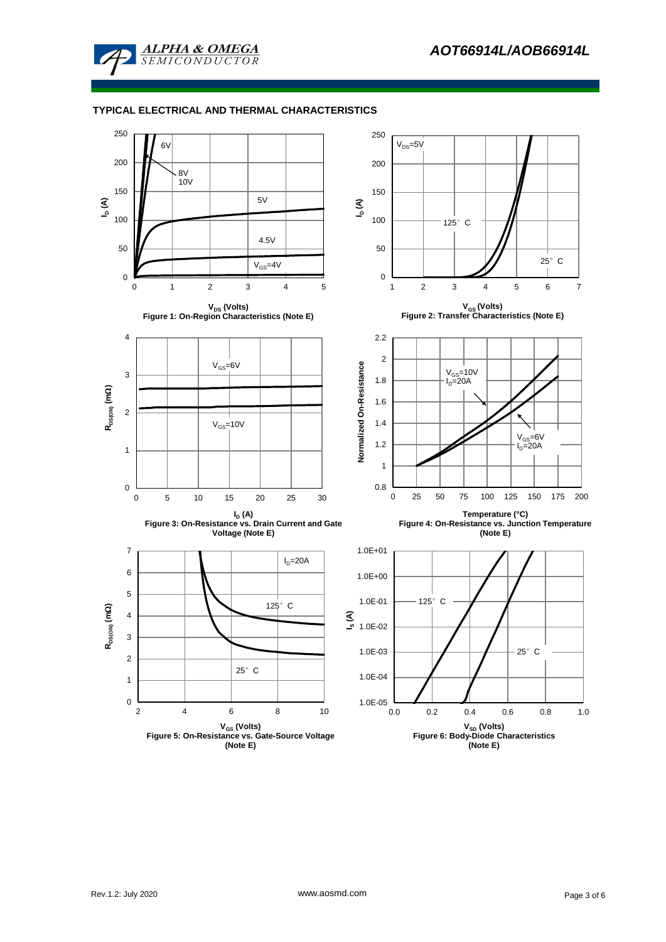

### **TYPICAL ELECTRICAL AND THERMAL CHARACTERISTICS**

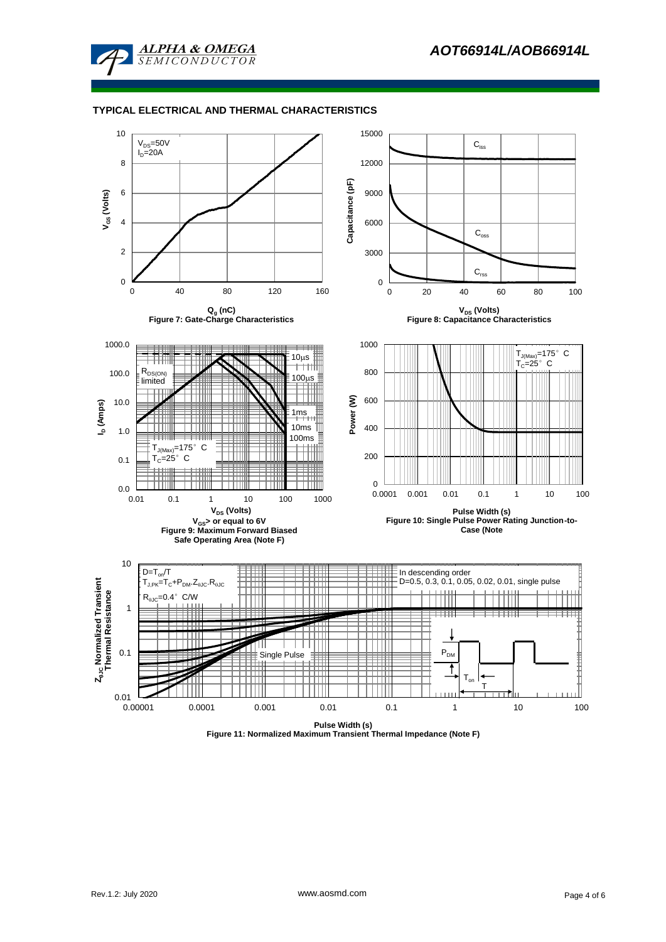

#### **TYPICAL ELECTRICAL AND THERMAL CHARACTERISTICS**



**Figure 11: Normalized Maximum Transient Thermal Impedance (Note F)**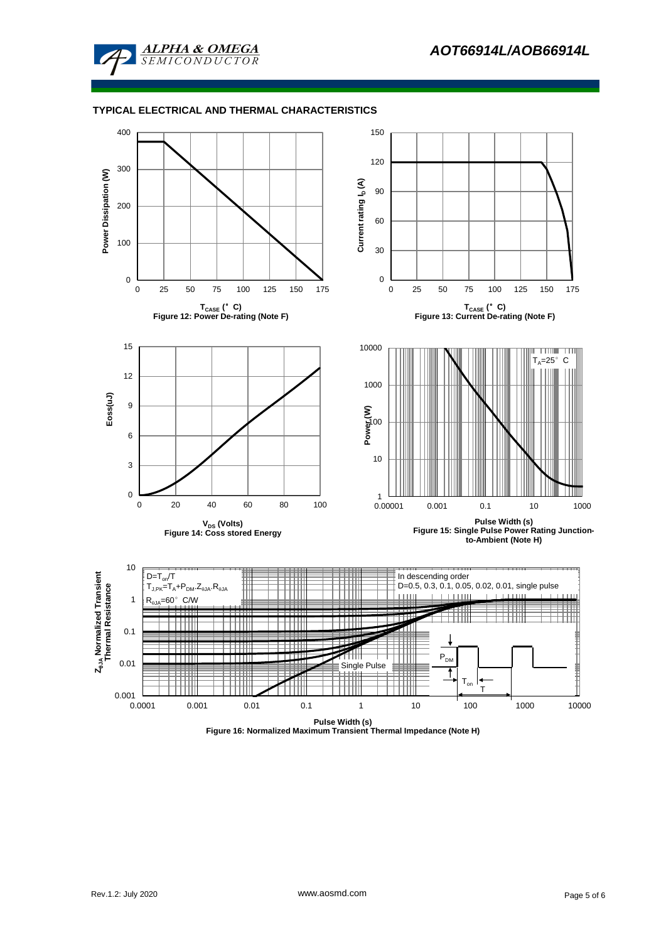

#### **TYPICAL ELECTRICAL AND THERMAL CHARACTERISTICS**



**Figure 16: Normalized Maximum Transient Thermal Impedance (Note H)**